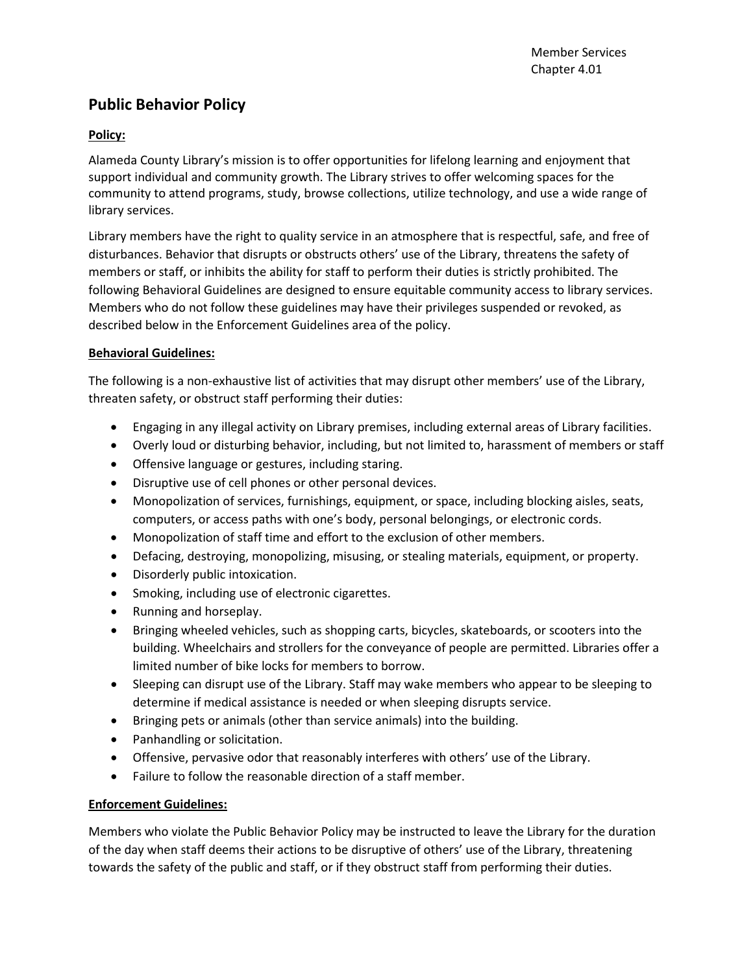## **Public Behavior Policy**

## **Policy:**

Alameda County Library's mission is to offer opportunities for lifelong learning and enjoyment that support individual and community growth. The Library strives to offer welcoming spaces for the community to attend programs, study, browse collections, utilize technology, and use a wide range of library services.

Library members have the right to quality service in an atmosphere that is respectful, safe, and free of disturbances. Behavior that disrupts or obstructs others' use of the Library, threatens the safety of members or staff, or inhibits the ability for staff to perform their duties is strictly prohibited. The following Behavioral Guidelines are designed to ensure equitable community access to library services. Members who do not follow these guidelines may have their privileges suspended or revoked, as described below in the Enforcement Guidelines area of the policy.

## **Behavioral Guidelines:**

The following is a non-exhaustive list of activities that may disrupt other members' use of the Library, threaten safety, or obstruct staff performing their duties:

- Engaging in any illegal activity on Library premises, including external areas of Library facilities.
- Overly loud or disturbing behavior, including, but not limited to, harassment of members or staff
- Offensive language or gestures, including staring.
- Disruptive use of cell phones or other personal devices.
- Monopolization of services, furnishings, equipment, or space, including blocking aisles, seats, computers, or access paths with one's body, personal belongings, or electronic cords.
- Monopolization of staff time and effort to the exclusion of other members.
- Defacing, destroying, monopolizing, misusing, or stealing materials, equipment, or property.
- Disorderly public intoxication.
- Smoking, including use of electronic cigarettes.
- Running and horseplay.
- Bringing wheeled vehicles, such as shopping carts, bicycles, skateboards, or scooters into the building. Wheelchairs and strollers for the conveyance of people are permitted. Libraries offer a limited number of bike locks for members to borrow.
- Sleeping can disrupt use of the Library. Staff may wake members who appear to be sleeping to determine if medical assistance is needed or when sleeping disrupts service.
- Bringing pets or animals (other than service animals) into the building.
- Panhandling or solicitation.
- Offensive, pervasive odor that reasonably interferes with others' use of the Library.
- Failure to follow the reasonable direction of a staff member.

## **Enforcement Guidelines:**

Members who violate the Public Behavior Policy may be instructed to leave the Library for the duration of the day when staff deems their actions to be disruptive of others' use of the Library, threatening towards the safety of the public and staff, or if they obstruct staff from performing their duties.